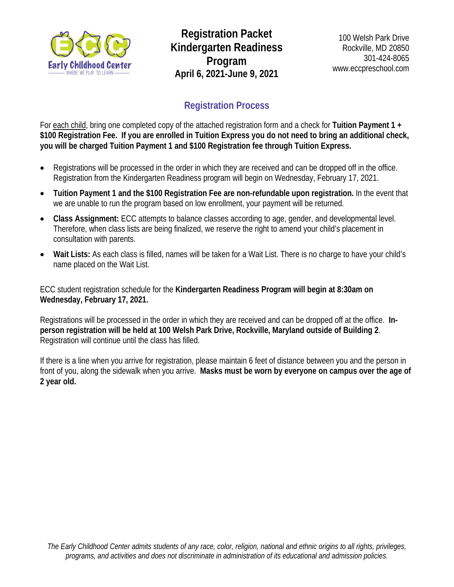

**Registration Packet Kindergarten Readiness Program April 6, 2021-June 9, 2021** 

# **Registration Process**

For each child, bring one completed copy of the attached registration form and a check for **Tuition Payment 1 + \$100 Registration Fee. If you are enrolled in Tuition Express you do not need to bring an additional check, you will be charged Tuition Payment 1 and \$100 Registration fee through Tuition Express.** 

- Registrations will be processed in the order in which they are received and can be dropped off in the office. Registration from the Kindergarten Readiness program will begin on Wednesday, February 17, 2021.
- **Tuition Payment 1 and the \$100 Registration Fee are non-refundable upon registration.** In the event that we are unable to run the program based on low enrollment, your payment will be returned.
- **Class Assignment:** ECC attempts to balance classes according to age, gender, and developmental level. Therefore, when class lists are being finalized, we reserve the right to amend your child's placement in consultation with parents.
- **Wait Lists:** As each class is filled, names will be taken for a Wait List. There is no charge to have your child's name placed on the Wait List.

ECC student registration schedule for the **Kindergarten Readiness Program will begin at 8:30am on Wednesday, February 17, 2021.** 

Registrations will be processed in the order in which they are received and can be dropped off at the office. **Inperson registration will be held at 100 Welsh Park Drive, Rockville, Maryland outside of Building 2**. Registration will continue until the class has filled.

If there is a line when you arrive for registration, please maintain 6 feet of distance between you and the person in front of you, along the sidewalk when you arrive. **Masks must be worn by everyone on campus over the age of 2 year old.**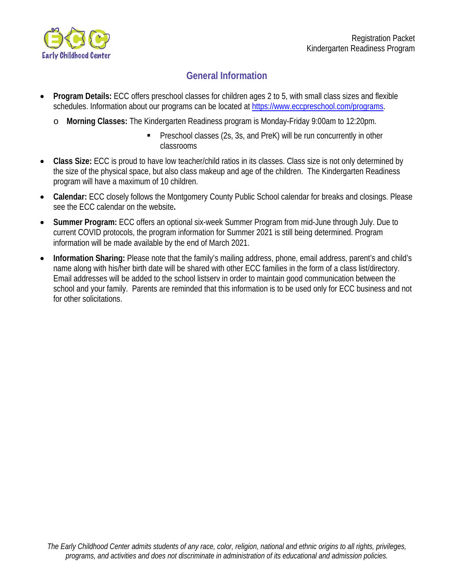

## **General Information**

- **Program Details:** ECC offers preschool classes for children ages 2 to 5, with small class sizes and flexible schedules. Information about our programs can be located at https://www.eccpreschool.com/programs.
	- o **Morning Classes:** The Kindergarten Readiness program is Monday-Friday 9:00am to 12:20pm.
		- Preschool classes (2s, 3s, and PreK) will be run concurrently in other classrooms
- **Class Size:** ECC is proud to have low teacher/child ratios in its classes. Class size is not only determined by the size of the physical space, but also class makeup and age of the children. The Kindergarten Readiness program will have a maximum of 10 children.
- **Calendar:** ECC closely follows the Montgomery County Public School calendar for breaks and closings. Please see the ECC calendar on the website**.**
- **Summer Program:** ECC offers an optional six-week Summer Program from mid-June through July. Due to current COVID protocols, the program information for Summer 2021 is still being determined. Program information will be made available by the end of March 2021.
- **Information Sharing:** Please note that the family's mailing address, phone, email address, parent's and child's name along with his/her birth date will be shared with other ECC families in the form of a class list/directory. Email addresses will be added to the school listserv in order to maintain good communication between the school and your family. Parents are reminded that this information is to be used only for ECC business and not for other solicitations.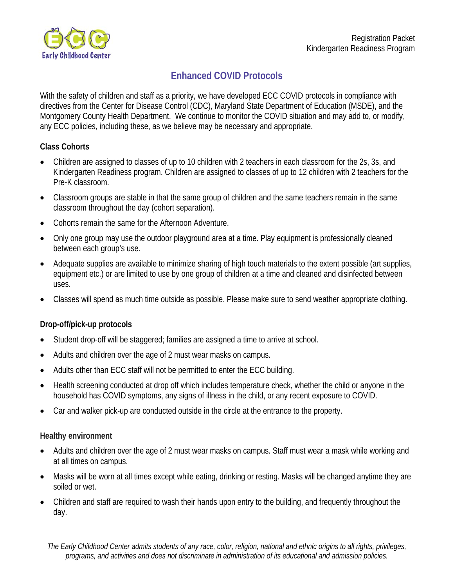

## **Enhanced COVID Protocols**

With the safety of children and staff as a priority, we have developed ECC COVID protocols in compliance with directives from the Center for Disease Control (CDC), Maryland State Department of Education (MSDE), and the Montgomery County Health Department. We continue to monitor the COVID situation and may add to, or modify, any ECC policies, including these, as we believe may be necessary and appropriate.

### **Class Cohorts**

- Children are assigned to classes of up to 10 children with 2 teachers in each classroom for the 2s, 3s, and Kindergarten Readiness program. Children are assigned to classes of up to 12 children with 2 teachers for the Pre-K classroom.
- Classroom groups are stable in that the same group of children and the same teachers remain in the same classroom throughout the day (cohort separation).
- Cohorts remain the same for the Afternoon Adventure.
- Only one group may use the outdoor playground area at a time. Play equipment is professionally cleaned between each group's use.
- Adequate supplies are available to minimize sharing of high touch materials to the extent possible (art supplies, equipment etc.) or are limited to use by one group of children at a time and cleaned and disinfected between uses.
- Classes will spend as much time outside as possible. Please make sure to send weather appropriate clothing.

### **Drop-off/pick-up protocols**

- Student drop-off will be staggered; families are assigned a time to arrive at school.
- Adults and children over the age of 2 must wear masks on campus.
- Adults other than ECC staff will not be permitted to enter the ECC building.
- Health screening conducted at drop off which includes temperature check, whether the child or anyone in the household has COVID symptoms, any signs of illness in the child, or any recent exposure to COVID.
- Car and walker pick-up are conducted outside in the circle at the entrance to the property.

#### **Healthy environment**

- Adults and children over the age of 2 must wear masks on campus. Staff must wear a mask while working and at all times on campus.
- Masks will be worn at all times except while eating, drinking or resting. Masks will be changed anytime they are soiled or wet.
- Children and staff are required to wash their hands upon entry to the building, and frequently throughout the day.

*The Early Childhood Center admits students of any race, color, religion, national and ethnic origins to all rights, privileges, programs, and activities and does not discriminate in administration of its educational and admission policies.*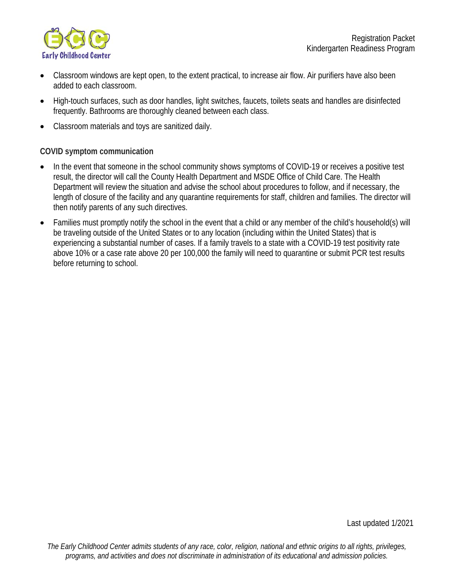

- Classroom windows are kept open, to the extent practical, to increase air flow. Air purifiers have also been added to each classroom.
- High-touch surfaces, such as door handles, light switches, faucets, toilets seats and handles are disinfected frequently. Bathrooms are thoroughly cleaned between each class.
- Classroom materials and toys are sanitized daily.

#### **COVID symptom communication**

- In the event that someone in the school community shows symptoms of COVID-19 or receives a positive test result, the director will call the County Health Department and MSDE Office of Child Care. The Health Department will review the situation and advise the school about procedures to follow, and if necessary, the length of closure of the facility and any quarantine requirements for staff, children and families. The director will then notify parents of any such directives.
- Families must promptly notify the school in the event that a child or any member of the child's household(s) will be traveling outside of the United States or to any location (including within the United States) that is experiencing a substantial number of cases. If a family travels to a state with a COVID-19 test positivity rate above 10% or a case rate above 20 per 100,000 the family will need to quarantine or submit PCR test results before returning to school.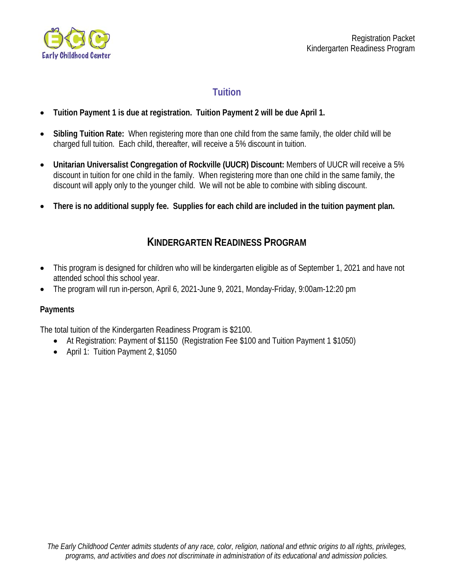

## **Tuition**

- **Tuition Payment 1 is due at registration. Tuition Payment 2 will be due April 1.**
- **Sibling Tuition Rate:** When registering more than one child from the same family, the older child will be charged full tuition. Each child, thereafter, will receive a 5% discount in tuition.
- **Unitarian Universalist Congregation of Rockville (UUCR) Discount:** Members of UUCR will receive a 5% discount in tuition for one child in the family. When registering more than one child in the same family, the discount will apply only to the younger child. We will not be able to combine with sibling discount.
- **There is no additional supply fee. Supplies for each child are included in the tuition payment plan.**

# **KINDERGARTEN READINESS PROGRAM**

- This program is designed for children who will be kindergarten eligible as of September 1, 2021 and have not attended school this school year.
- The program will run in-person, April 6, 2021-June 9, 2021, Monday-Friday, 9:00am-12:20 pm

### **Payments**

The total tuition of the Kindergarten Readiness Program is \$2100.

- At Registration: Payment of \$1150 (Registration Fee \$100 and Tuition Payment 1 \$1050)
- April 1: Tuition Payment 2, \$1050